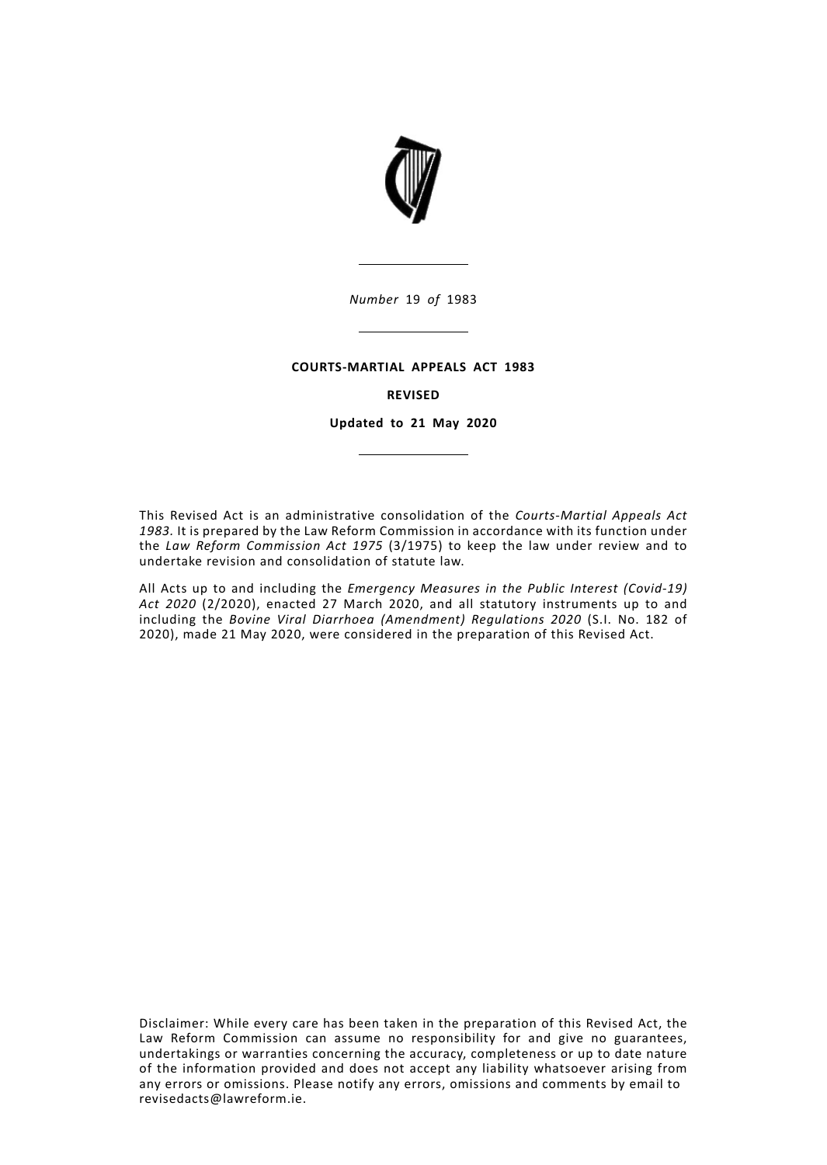

### **COURTS-MARTIAL APPEALS ACT 1983**

# **REVISED**

**Updated to 21 May 2020**

This Revised Act is an administrative consolidation of the *Courts-Martial Appeals Act 1983.* It is prepared by the Law Reform Commission in accordance with its function under the *Law Reform Commission Act 1975* (3/1975) to keep the law under review and to undertake revision and consolidation of statute law.

All Acts up to and including the *Emergency Measures in the Public Interest (Covid-19) Act 2020* (2/2020), enacted 27 March 2020, and all statutory instruments up to and including the *Bovine Viral Diarrhoea (Amendment) Regulations 2020* (S.I. No. 182 of 2020), made 21 May 2020, were considered in the preparation of this Revised Act.

Disclaimer: While every care has been taken in the preparation of this Revised Act, the Law Reform Commission can assume no responsibility for and give no guarantees, undertakings or warranties concerning the accuracy, completeness or up to date nature of the information provided and does not accept any liability whatsoever arising from any errors or omissions. Please notify any errors, omissions and comments by email to revisedacts@lawreform.ie.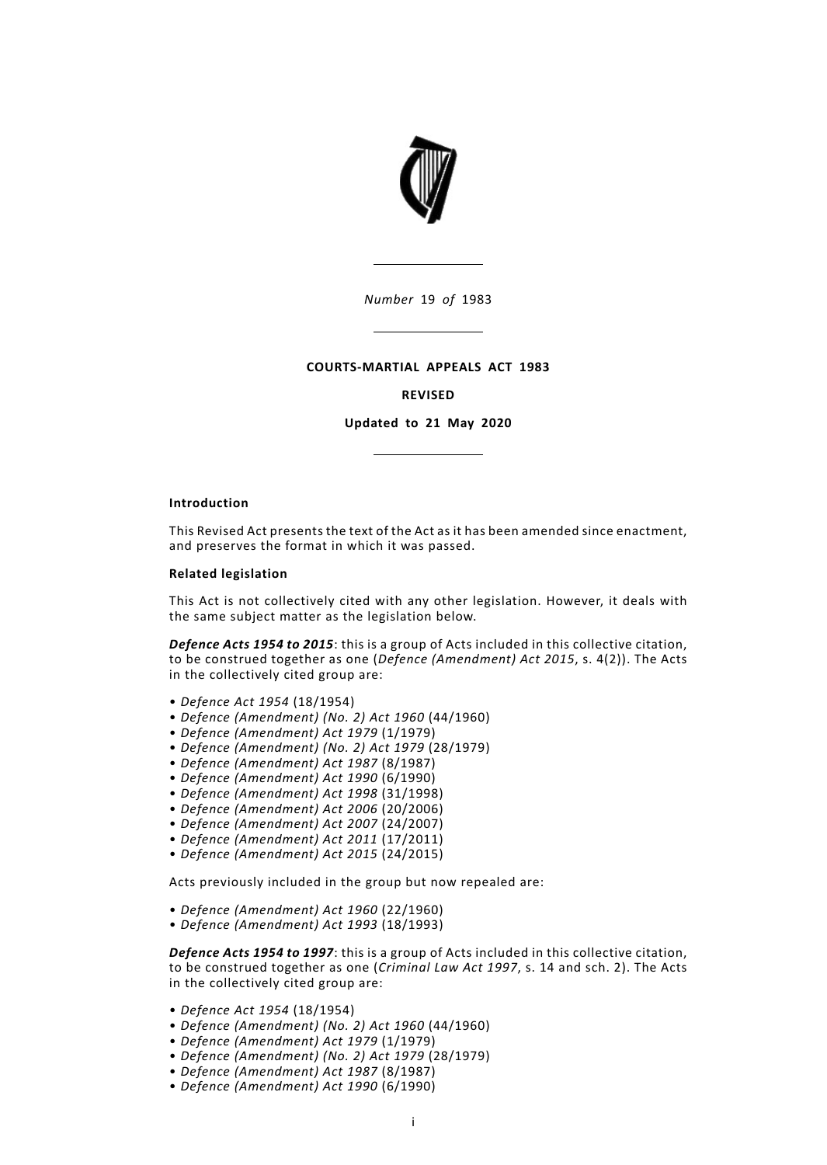

## **COURTS-MARTIAL APPEALS ACT 1983**

# **REVISED**

**Updated to 21 May 2020**

#### **Introduction**

This Revised Act presents the text of the Act as it has been amended since enactment, and preserves the format in which it was passed.

#### **Related legislation**

This Act is not collectively cited with any other legislation. However, it deals with the same subject matter as the legislation below.

*Defence Acts 1954 to 2015*: this is a group of Acts included in this collective citation, to be construed together as one (*Defence (Amendment) Act 2015*, s. 4(2)). The Acts in the collectively cited group are:

- *Defence Act 1954* (18/1954)
- *Defence (Amendment) (No. 2) Act 1960* (44/1960)
- *Defence (Amendment) Act 1979* (1/1979)
- *Defence (Amendment) (No. 2) Act 1979* (28/1979)
- *Defence (Amendment) Act 1987* (8/1987)
- *Defence (Amendment) Act 1990* (6/1990)
- *Defence (Amendment) Act 1998* (31/1998)
- *Defence (Amendment) Act 2006* (20/2006)
- *Defence (Amendment) Act 2007* (24/2007)
- *Defence (Amendment) Act 2011* (17/2011)
- *Defence (Amendment) Act 2015* (24/2015)

Acts previously included in the group but now repealed are:

- *Defence (Amendment) Act 1960* (22/1960)
- *Defence (Amendment) Act 1993* (18/1993)

*Defence Acts 1954 to 1997*: this is a group of Acts included in this collective citation, to be construed together as one (*Criminal Law Act 1997*, s. 14 and sch. 2). The Acts in the collectively cited group are:

- *Defence Act 1954* (18/1954)
- *Defence (Amendment) (No. 2) Act 1960* (44/1960)
- *Defence (Amendment) Act 1979* (1/1979)
- *Defence (Amendment) (No. 2) Act 1979* (28/1979)
- *Defence (Amendment) Act 1987* (8/1987)
- *Defence (Amendment) Act 1990* (6/1990)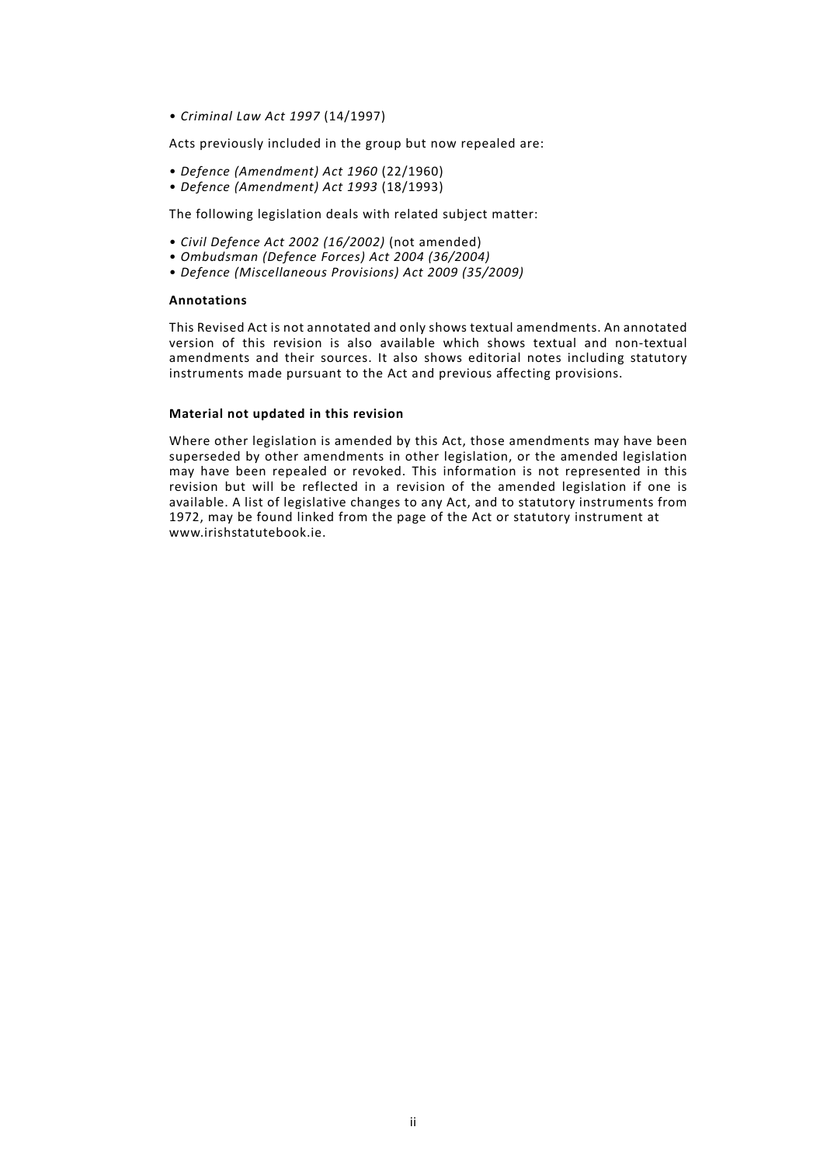• *Criminal Law Act 1997* (14/1997)

Acts previously included in the group but now repealed are:

- *Defence (Amendment) Act 1960* (22/1960)
- *Defence (Amendment) Act 1993* (18/1993)

The following legislation deals with related subject matter:

- *Civil Defence Act 2002 (16/2002)* (not amended)
- *Ombudsman (Defence Forces) Act 2004 (36/2004)*
- *Defence (Miscellaneous Provisions) Act 2009 (35/2009)*

## **Annotations**

This Revised Act is not annotated and only shows textual amendments. An annotated version of this revision is also available which shows textual and non-textual amendments and their sources. It also shows editorial notes including statutory instruments made pursuant to the Act and previous affecting provisions.

## **Material not updated in this revision**

Where other legislation is amended by this Act, those amendments may have been superseded by other amendments in other legislation, or the amended legislation may have been repealed or revoked. This information is not represented in this revision but will be reflected in a revision of the amended legislation if one is available. A list of legislative changes to any Act, and to statutory instruments from 1972, may be found linked from the page of the Act or statutory instrument at www.irishstatutebook.ie.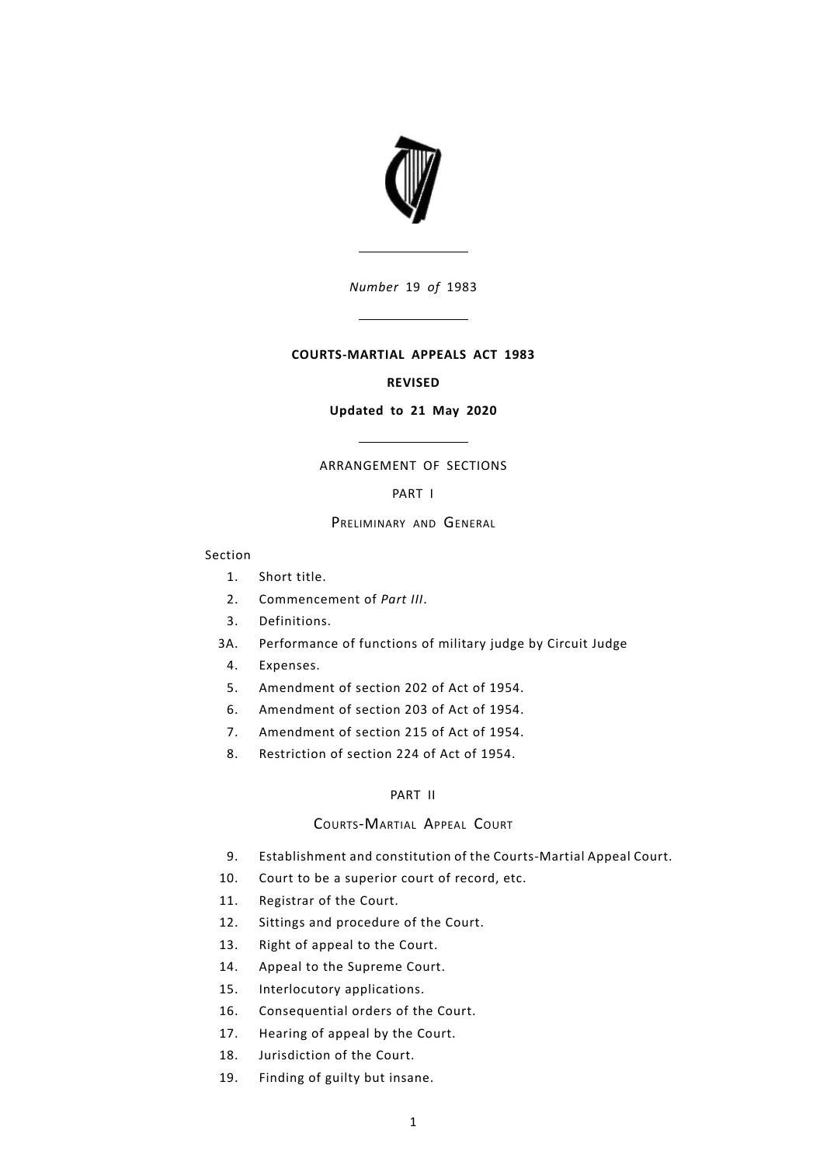

# **COURTS-MARTIAL APPEALS ACT 1983**

#### **REVISED**

## **Updated to 21 May 2020**

# ARRANGEMENT OF SECTIONS

## [PART](#page-6-0) I

#### PRELIMINARY AND GENERAL

#### Section

- [1.](#page-6-1) [Short](#page-6-1) title.
- [2.](#page-6-2) [Commencement](#page-6-2) of *[Part](#page-12-0) III*.
- [3.](#page-6-3) [Definitions.](#page-6-3)
- [3A.](#page-6-3) [Performance](#page-7-0) of functions of military judge by Circuit Judge
	- [4.](#page-7-1) [Expenses.](#page-7-1)
	- [5.](#page-7-2) [Amendment](#page-7-2) of section 202 of Act of 1954.
	- [6.](#page-7-3) [Amendment](#page-7-3) of section 203 of Act of 1954.
	- [7.](#page-8-0) [Amendment](#page-8-0) of section 215 of Act of 1954.
	- [8.](#page-8-1) [Restriction](#page-8-1) of section 224 of Act of 1954.

# [PART](#page-8-2) II

# COURTS-MARTIAL APPEAL COURT

- [9.](#page-8-3) Establishment and constitution of the [Courts-Martial](#page-8-3) Appeal Court.
- [10.](#page-8-4) Court to be a [superior](#page-8-4) court of record, etc.
- [11.](#page-9-0) [Registrar](#page-9-0) of the Court.
- [12.](#page-9-1) Sittings and [procedure](#page-9-1) of the Court.
- [13.](#page-9-2) Right of [appeal](#page-9-2) to the Court.
- [14.](#page-9-3) Appeal to the [Supreme](#page-9-3) Court.
- [15.](#page-9-4) [Interlocutory](#page-9-4) applications.
- [16.](#page-9-5) [Consequential](#page-9-5) orders of the Court.
- [17.](#page-9-6) [Hearing](#page-9-6) of appeal by the Court.
- [18.](#page-9-7) [Jurisdiction](#page-9-7) of the Court.
- [19.](#page-9-8) [Finding](#page-9-8) of guilty but insane.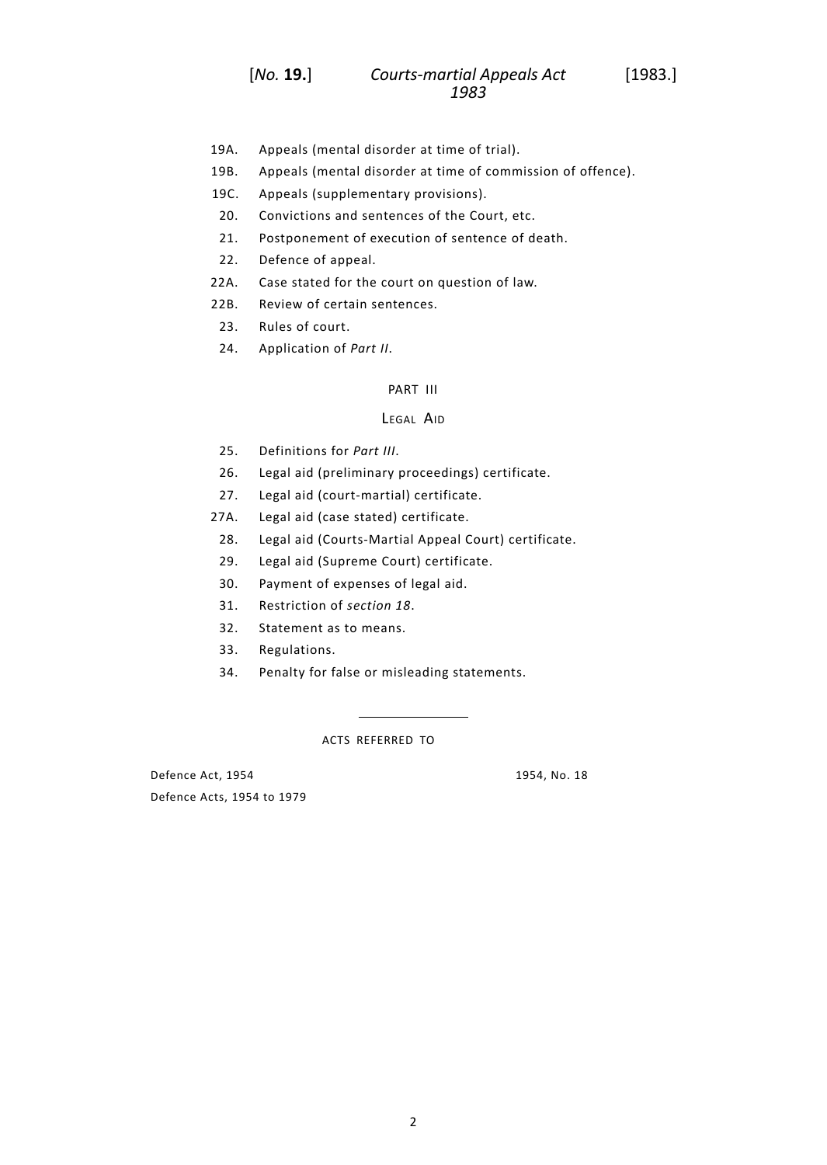- [19A.](#page-9-9) Appeals (mental [disorder](#page-9-9) at time of trial).
- [19B.](#page-10-0) Appeals (mental disorder at time of [commission](#page-10-0) of offence).
- 19C. Appeals (supplementary provisions).
- [20.](#page-11-0) [Convictions](#page-11-0) and sentences of the Court, etc.
- [21.](#page-11-1) [Postponement](#page-11-1) of execution of sentence of death.
- [22.](#page-11-2) [Defence](#page-11-2) of appeal.
- [22A.](#page-11-3) Case stated for the court on [question](#page-11-3) of law.
- [22B.](#page-11-4) Review of certain [sentences.](#page-11-4)
- [23.](#page-11-5) Rules of [court.](#page-11-5)
- [24.](#page-12-1) [Application](#page-12-1) of *[Part](#page-8-2) II*.

## [PART](#page-12-0) III

#### LEGAL AID

- [25.](#page-12-2) [Definitions](#page-12-2) for *[Part](#page-12-0) III*.
- [26.](#page-12-3) Legal aid (preliminary [proceedings\)](#page-12-3) certificate.
- [27.](#page-12-4) Legal aid [\(court-martial\)](#page-12-4) certificate.
- [27A.](#page-13-0) Legal aid (case stated) [certificate.](#page-13-0)
	- [28.](#page-14-0) Legal aid [\(Courts-Martial](#page-14-0) Appeal Court) certificate.
	- [29.](#page-15-0) Legal aid (Supreme Court) [certificate.](#page-15-0)
	- [30.](#page-16-0) Payment of [expenses](#page-16-0) of legal aid.
	- [31.](#page-16-1) [Restriction](#page-16-1) of *[section](#page-9-7) 18*.
	- [32.](#page-16-2) [Statement](#page-16-2) as to means.
- [33.](#page-16-3) [Regulations.](#page-16-3)
- [34.](#page-17-0) Penalty for false or misleading [statements.](#page-17-0)

ACTS REFERRED TO

Defence Act, 1954 1954, No. 18 Defence Acts, 1954 to 1979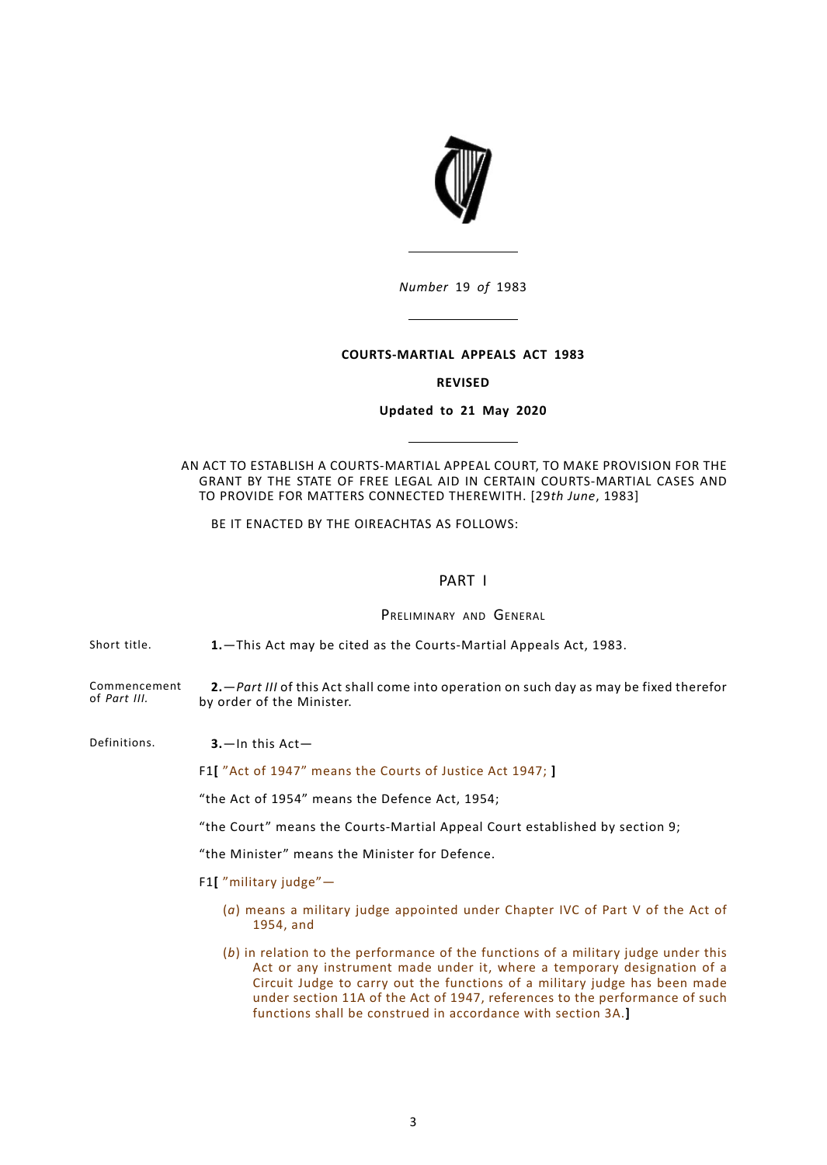

### **COURTS-MARTIAL APPEALS ACT 1983**

### **REVISED**

## **Updated to 21 May 2020**

AN ACT TO ESTABLISH A COURTS-MARTIAL APPEAL COURT, TO MAKE PROVISION FOR THE GRANT BY THE STATE OF FREE LEGAL AID IN CERTAIN COURTS-MARTIAL CASES AND TO PROVIDE FOR MATTERS CONNECTED THEREWITH. [29*th June*, 1983]

<span id="page-6-1"></span><span id="page-6-0"></span>BE IT ENACTED BY THE OIREACHTAS AS FOLLOWS:

# PART I

PRELIMINARY AND GENERAL

<span id="page-6-2"></span>Short title. **1.**—This Act may be cited as the Courts-Martial Appeals Act, 1983.

<span id="page-6-3"></span>Commencement of *[Part](#page-12-0) III.* **2.**—*[Part](#page-12-0) III* of this Act shall come into operation on such day as may be fixed therefor by order of the Minister.

Definitions. **3.**—In this Act—

F1**[** "Act of 1947" means the Courts of Justice Act 1947; **]**

"the Act of 1954" means the Defence Act, 1954;

"the Court" means the Courts-Martial Appeal Court established by section 9;

"the Minister" means the Minister for Defence.

F1**[** "military judge"—

- (*a*) means a military judge appointed under Chapter IVC of Part V of the Act of 1954, and
- (*b*) in relation to the performance of the functions of a military judge under this Act or any instrument made under it, where a temporary designation of a Circuit Judge to carry out the functions of a military judge has been made under section 11A of the Act of 1947, references to the performance of such functions shall be construed in accordance with section 3A.**]**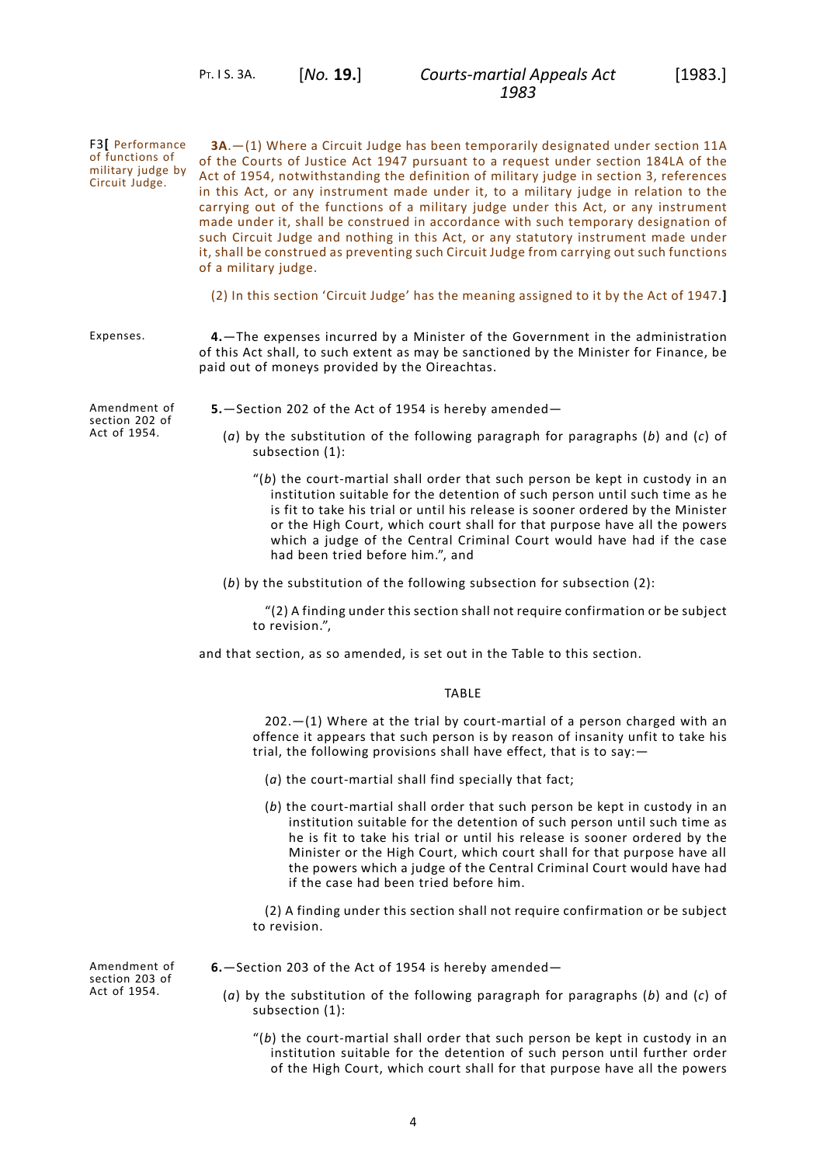<span id="page-7-0"></span>PT. I S. 3A. [*No.* **19.**]

<span id="page-7-2"></span><span id="page-7-1"></span>F3**[** Performance of functions of military judge by Circuit Judge. **3A**.—(1) Where a Circuit Judge has been temporarily designated under section 11A of the Courts of Justice Act 1947 pursuant to a request under section 184LA of the Act of 1954, notwithstanding the definition of military judge in section 3, references in this Act, or any instrument made under it, to a military judge in relation to the carrying out of the functions of a military judge under this Act, or any instrument made under it, shall be construed in accordance with such temporary designation of such Circuit Judge and nothing in this Act, or any statutory instrument made under it, shall be construed as preventing such Circuit Judge from carrying out such functions of a military judge. (2) In this section 'Circuit Judge' has the meaning assigned to it by the Act of 1947.**]** Expenses. **4.**—The expenses incurred by a Minister of the Government in the administration of this Act shall, to such extent as may be sanctioned by the Minister for Finance, be paid out of moneys provided by the Oireachtas. Amendment of section 202 of Act of 1954. **5.**—Section 202 of the Act of 1954 is hereby amended— (*a*) by the substitution of the following paragraph for paragraphs (*b*) and (*c*) of subsection (1): "(*b*) the court-martial shall order that such person be kept in custody in an institution suitable for the detention of such person until such time as he is fit to take his trial or until his release is sooner ordered by the Minister or the High Court, which court shall for that purpose have all the powers which a judge of the Central Criminal Court would have had if the case had been tried before him.", and (*b*) by the substitution of the following subsection for subsection (2): "(2) A finding under this section shall not require confirmation or be subject to revision.", and that section, as so amended, is set out in the Table to this section. TABLE 202.—(1) Where at the trial by court-martial of a person charged with an offence it appears that such person is by reason of insanity unfit to take his trial, the following provisions shall have effect, that is to say:— (*a*) the court-martial shall find specially that fact; (*b*) the court-martial shall order that such person be kept in custody in an institution suitable for the detention of such person until such time as he is fit to take his trial or until his release is sooner ordered by the Minister or the High Court, which court shall for that purpose have all the powers which a judge of the Central Criminal Court would have had if the case had been tried before him. (2) A finding under this section shall not require confirmation or be subject to revision.

Amendment of section 203 of Act of 1954.

- <span id="page-7-3"></span>**6.**—Section 203 of the Act of 1954 is hereby amended—
	- (*a*) by the substitution of the following paragraph for paragraphs (*b*) and (*c*) of subsection (1):
		- "(*b*) the court-martial shall order that such person be kept in custody in an institution suitable for the detention of such person until further order of the High Court, which court shall for that purpose have all the powers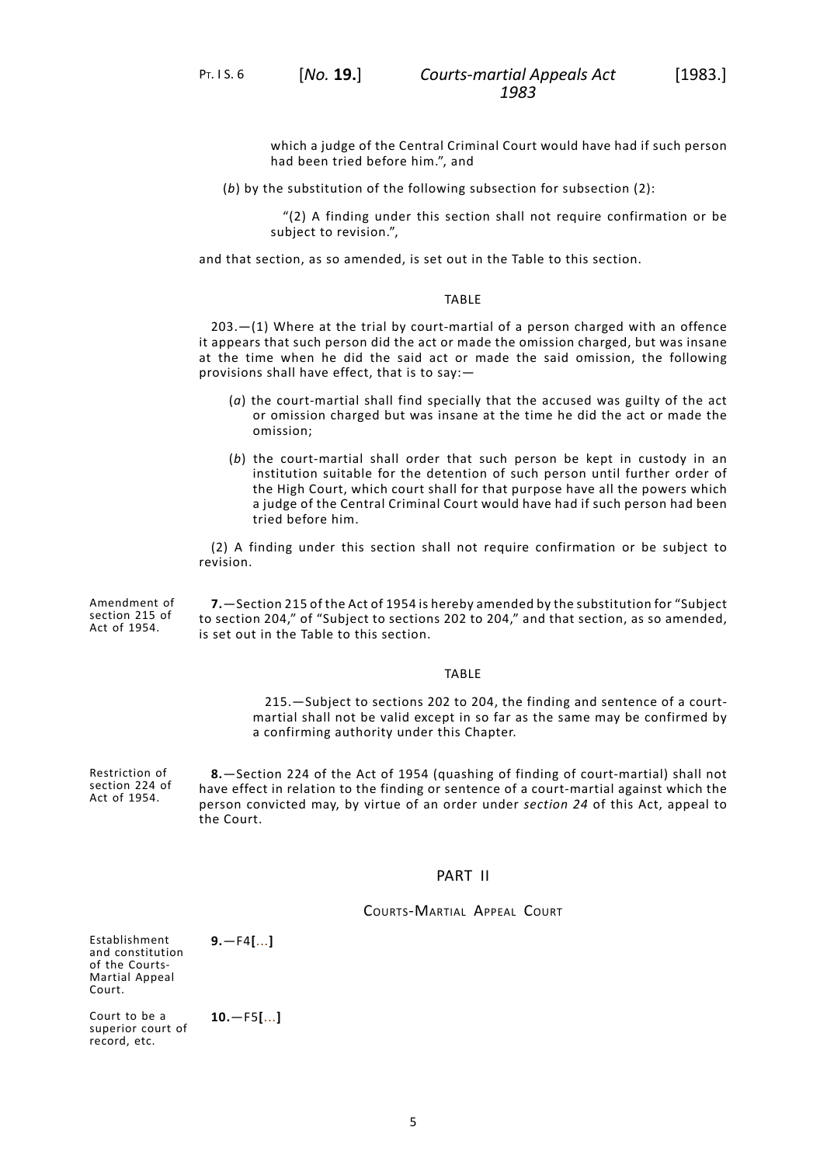PT. I S. 6 [*No.* **19.**]

which a judge of the Central Criminal Court would have had if such person had been tried before him.", and

(*b*) by the substitution of the following subsection for subsection (2):

"(2) A finding under this section shall not require confirmation or be subject to revision.",

and that section, as so amended, is set out in the Table to this section.

### TABLE

203.—(1) Where at the trial by court-martial of a person charged with an offence it appears that such person did the act or made the omission charged, but was insane at the time when he did the said act or made the said omission, the following provisions shall have effect, that is to say:—

- (*a*) the court-martial shall find specially that the accused was guilty of the act or omission charged but was insane at the time he did the act or made the omission;
- (*b*) the court-martial shall order that such person be kept in custody in an institution suitable for the detention of such person until further order of the High Court, which court shall for that purpose have all the powers which a judge of the Central Criminal Court would have had if such person had been tried before him.

<span id="page-8-0"></span>(2) A finding under this section shall not require confirmation or be subject to revision.

Amendment of section 215 of Act of 1954. **7.**—Section 215 of the Act of 1954 is hereby amended by the substitution for "Subject to section 204," of "Subject to sections 202 to 204," and that section, as so amended, is set out in the Table to this section.

## TABLE

<span id="page-8-1"></span>215.—Subject to sections 202 to 204, the finding and sentence of a courtmartial shall not be valid except in so far as the same may be confirmed by a confirming authority under this Chapter.

<span id="page-8-2"></span>Restriction of section 224 of Act of 1954. **8.**—Section 224 of the Act of 1954 (quashing of finding of court-martial) shall not have effect in relation to the finding or sentence of a court-martial against which the person convicted may, by virtue of an order under *[section](#page-12-1) 24* of this Act, appeal to the Court.

# PART II

COURTS-MARTIAL APPEAL COURT

Establishment and constitution of the Courts-Martial Appeal Court.

<span id="page-8-4"></span><span id="page-8-3"></span>**9.**—F4**[**...**]**

Court to be a superior court of record, etc. **10.**—F5**[**...**]**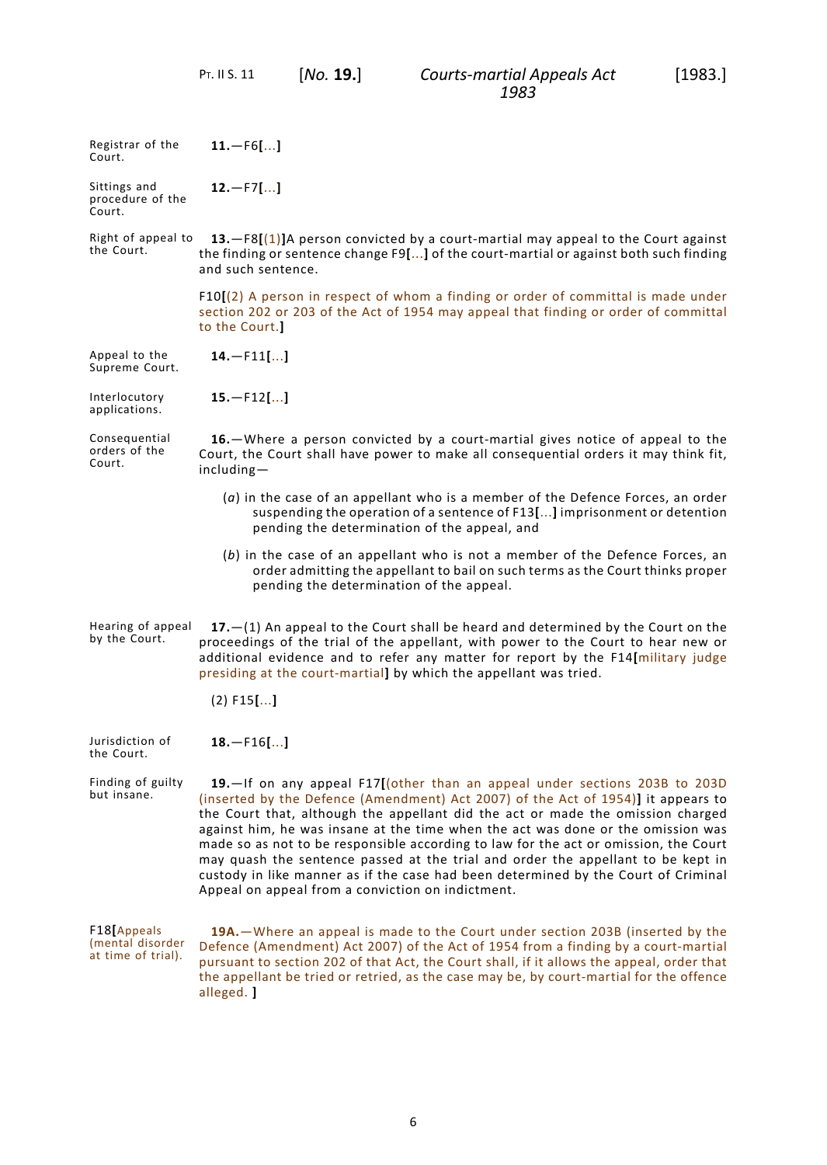<span id="page-9-1"></span><span id="page-9-0"></span>PT. II S. 11 [*No.* **19.**]

<span id="page-9-9"></span><span id="page-9-8"></span><span id="page-9-7"></span><span id="page-9-6"></span><span id="page-9-5"></span><span id="page-9-4"></span><span id="page-9-3"></span><span id="page-9-2"></span>

| Registrar of the<br>Court.                            | $11. - F6$ []                                                                                                                                                                                                                                                                                                                                                                                                                                                                                                                                                                                                                                                 |
|-------------------------------------------------------|---------------------------------------------------------------------------------------------------------------------------------------------------------------------------------------------------------------------------------------------------------------------------------------------------------------------------------------------------------------------------------------------------------------------------------------------------------------------------------------------------------------------------------------------------------------------------------------------------------------------------------------------------------------|
| Sittings and<br>procedure of the<br>Court.            | $12. - F7$ []                                                                                                                                                                                                                                                                                                                                                                                                                                                                                                                                                                                                                                                 |
| Right of appeal to<br>the Court.                      | 13. $-F8[(1)]$ A person convicted by a court-martial may appeal to the Court against<br>the finding or sentence change F9[] of the court-martial or against both such finding<br>and such sentence.                                                                                                                                                                                                                                                                                                                                                                                                                                                           |
|                                                       | $F10[(2)$ A person in respect of whom a finding or order of committal is made under<br>section 202 or 203 of the Act of 1954 may appeal that finding or order of committal<br>to the Court.]                                                                                                                                                                                                                                                                                                                                                                                                                                                                  |
| Appeal to the<br>Supreme Court.                       | $14. - F11$ []                                                                                                                                                                                                                                                                                                                                                                                                                                                                                                                                                                                                                                                |
| Interlocutory<br>applications.                        | $15. - F12$ []                                                                                                                                                                                                                                                                                                                                                                                                                                                                                                                                                                                                                                                |
| Consequential<br>orders of the<br>Court.              | 16. - Where a person convicted by a court-martial gives notice of appeal to the<br>Court, the Court shall have power to make all consequential orders it may think fit,<br>including-                                                                                                                                                                                                                                                                                                                                                                                                                                                                         |
|                                                       | $(a)$ in the case of an appellant who is a member of the Defence Forces, an order<br>suspending the operation of a sentence of F13[] imprisonment or detention<br>pending the determination of the appeal, and                                                                                                                                                                                                                                                                                                                                                                                                                                                |
|                                                       | (b) in the case of an appellant who is not a member of the Defence Forces, an<br>order admitting the appellant to bail on such terms as the Court thinks proper<br>pending the determination of the appeal.                                                                                                                                                                                                                                                                                                                                                                                                                                                   |
| Hearing of appeal<br>by the Court.                    | $17. - (1)$ An appeal to the Court shall be heard and determined by the Court on the<br>proceedings of the trial of the appellant, with power to the Court to hear new or<br>additional evidence and to refer any matter for report by the F14[military judge<br>presiding at the court-martial] by which the appellant was tried.                                                                                                                                                                                                                                                                                                                            |
|                                                       | $(2)$ F15 $[]$                                                                                                                                                                                                                                                                                                                                                                                                                                                                                                                                                                                                                                                |
| Jurisdiction of<br>the Court.                         | $18.-F16[]$                                                                                                                                                                                                                                                                                                                                                                                                                                                                                                                                                                                                                                                   |
| Finding of guilty<br>but insane.                      | 19. If on any appeal F17[(other than an appeal under sections 203B to 203D<br>(inserted by the Defence (Amendment) Act 2007) of the Act of 1954)] it appears to<br>the Court that, although the appellant did the act or made the omission charged<br>against him, he was insane at the time when the act was done or the omission was<br>made so as not to be responsible according to law for the act or omission, the Court<br>may quash the sentence passed at the trial and order the appellant to be kept in<br>custody in like manner as if the case had been determined by the Court of Criminal<br>Appeal on appeal from a conviction on indictment. |
| F18[Appeals<br>(mental disorder<br>at time of trial). | 19A. - Where an appeal is made to the Court under section 203B (inserted by the<br>Defence (Amendment) Act 2007) of the Act of 1954 from a finding by a court-martial<br>pursuant to section 202 of that Act, the Court shall, if it allows the appeal, order that<br>the appellant be tried or retried, as the case may be, by court-martial for the offence<br>alleged. ]                                                                                                                                                                                                                                                                                   |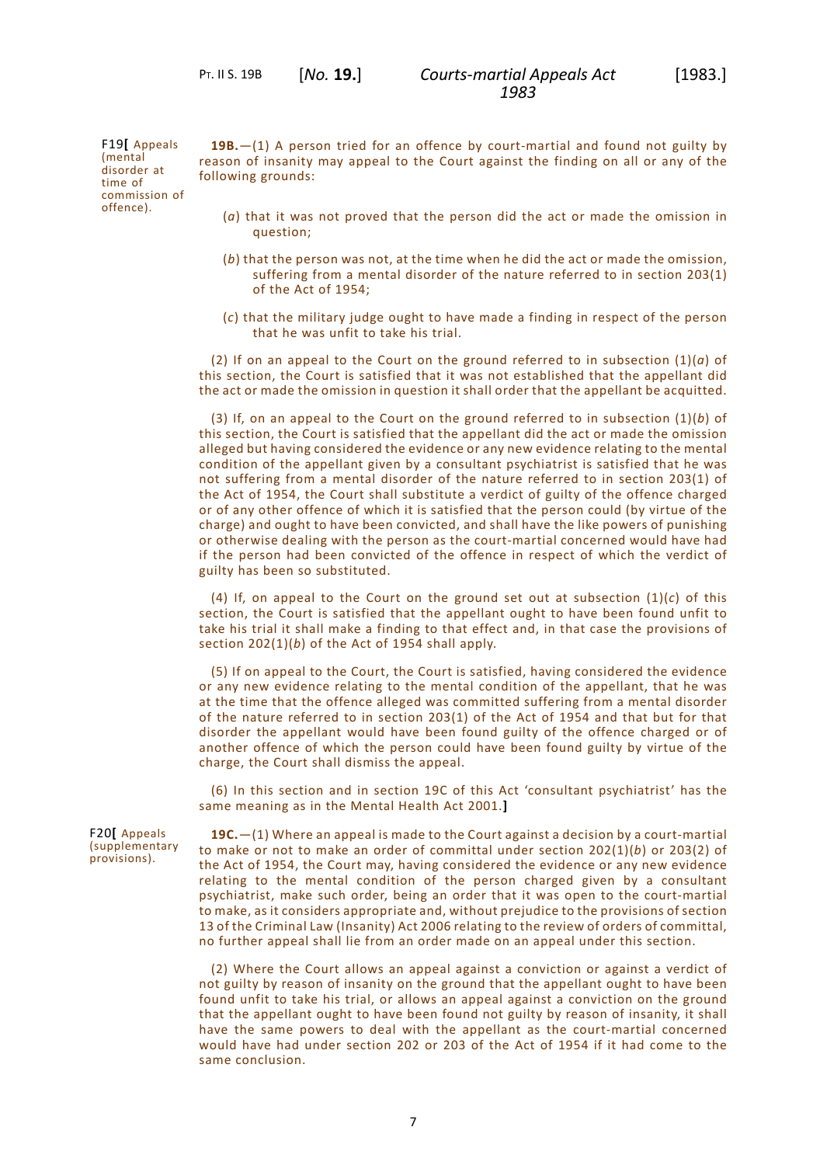F19**[** Appeals (mental disorder at time of commission of offence).

<span id="page-10-0"></span>**19B.**—(1) A person tried for an offence by court-martial and found not guilty by reason of insanity may appeal to the Court against the finding on all or any of the following grounds:

- (*a*) that it was not proved that the person did the act or made the omission in question;
- (*b*) that the person was not, at the time when he did the act or made the omission, suffering from a mental disorder of the nature referred to in section 203(1) of the Act of 1954;
- (*c*) that the military judge ought to have made a finding in respect of the person that he was unfit to take his trial.

(2) If on an appeal to the Court on the ground referred to in subsection (1)(*a*) of this section, the Court is satisfied that it was not established that the appellant did the act or made the omission in question it shall order that the appellant be acquitted.

(3) If, on an appeal to the Court on the ground referred to in subsection (1)(*b*) of this section, the Court is satisfied that the appellant did the act or made the omission alleged but having considered the evidence or any new evidence relating to the mental condition of the appellant given by a consultant psychiatrist is satisfied that he was not suffering from a mental disorder of the nature referred to in section 203(1) of the Act of 1954, the Court shall substitute a verdict of guilty of the offence charged or of any other offence of which it is satisfied that the person could (by virtue of the charge) and ought to have been convicted, and shall have the like powers of punishing or otherwise dealing with the person as the court-martial concerned would have had if the person had been convicted of the offence in respect of which the verdict of guilty has been so substituted.

(4) If, on appeal to the Court on the ground set out at subsection  $(1)(c)$  of this section, the Court is satisfied that the appellant ought to have been found unfit to take his trial it shall make a finding to that effect and, in that case the provisions of section 202(1)(*b*) of the Act of 1954 shall apply.

(5) If on appeal to the Court, the Court is satisfied, having considered the evidence or any new evidence relating to the mental condition of the appellant, that he was at the time that the offence alleged was committed suffering from a mental disorder of the nature referred to in section 203(1) of the Act of 1954 and that but for that disorder the appellant would have been found guilty of the offence charged or of another offence of which the person could have been found guilty by virtue of the charge, the Court shall dismiss the appeal.

(6) In this section and in section 19C of this Act 'consultant psychiatrist' has the same meaning as in the Mental Health Act 2001.**]**

F20**[** Appeals (supplementary provisions).

**19C.**—(1) Where an appeal is made to the Court against a decision by a court-martial to make or not to make an order of committal under section 202(1)(*b*) or 203(2) of the Act of 1954, the Court may, having considered the evidence or any new evidence relating to the mental condition of the person charged given by a consultant psychiatrist, make such order, being an order that it was open to the court-martial to make, as it considers appropriate and, without prejudice to the provisions of section 13 of the Criminal Law (Insanity) Act 2006 relating to the review of orders of committal, no further appeal shall lie from an order made on an appeal under this section.

(2) Where the Court allows an appeal against a conviction or against a verdict of not guilty by reason of insanity on the ground that the appellant ought to have been found unfit to take his trial, or allows an appeal against a conviction on the ground that the appellant ought to have been found not guilty by reason of insanity, it shall have the same powers to deal with the appellant as the court-martial concerned would have had under section 202 or 203 of the Act of 1954 if it had come to the same conclusion.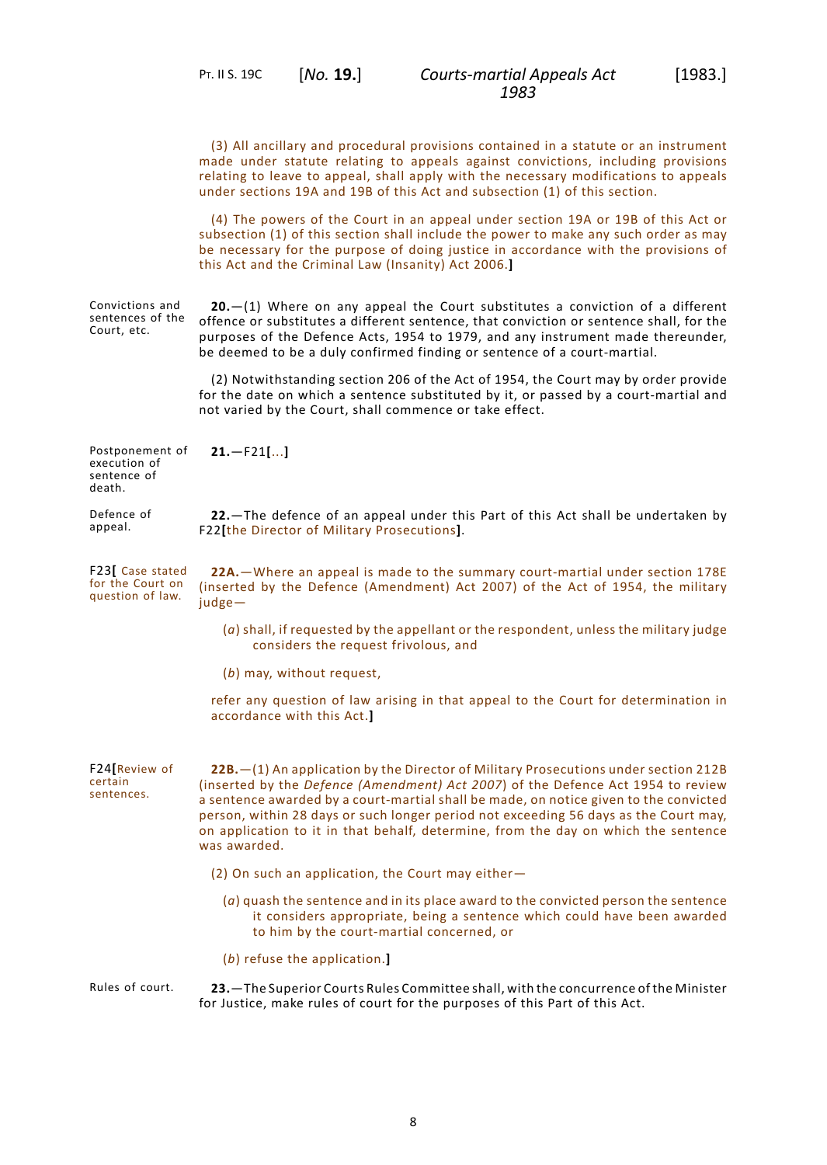PT. II S. 19C [*No.* **19.**]

*Courts-martial Appeals Act* [1983.] *1983*

<span id="page-11-5"></span><span id="page-11-4"></span><span id="page-11-3"></span><span id="page-11-2"></span><span id="page-11-1"></span><span id="page-11-0"></span>

|                                                          | (3) All ancillary and procedural provisions contained in a statute or an instrument<br>made under statute relating to appeals against convictions, including provisions<br>relating to leave to appeal, shall apply with the necessary modifications to appeals<br>under sections 19A and 19B of this Act and subsection (1) of this section.                                                                                                                    |
|----------------------------------------------------------|------------------------------------------------------------------------------------------------------------------------------------------------------------------------------------------------------------------------------------------------------------------------------------------------------------------------------------------------------------------------------------------------------------------------------------------------------------------|
|                                                          | (4) The powers of the Court in an appeal under section 19A or 19B of this Act or<br>subsection (1) of this section shall include the power to make any such order as may<br>be necessary for the purpose of doing justice in accordance with the provisions of<br>this Act and the Criminal Law (Insanity) Act 2006.]                                                                                                                                            |
| Convictions and<br>sentences of the<br>Court, etc.       | $20 - (1)$ Where on any appeal the Court substitutes a conviction of a different<br>offence or substitutes a different sentence, that conviction or sentence shall, for the<br>purposes of the Defence Acts, 1954 to 1979, and any instrument made thereunder,<br>be deemed to be a duly confirmed finding or sentence of a court-martial.                                                                                                                       |
|                                                          | (2) Notwithstanding section 206 of the Act of 1954, the Court may by order provide<br>for the date on which a sentence substituted by it, or passed by a court-martial and<br>not varied by the Court, shall commence or take effect.                                                                                                                                                                                                                            |
| Postponement of<br>execution of<br>sentence of<br>death. | $21. - F21$ []                                                                                                                                                                                                                                                                                                                                                                                                                                                   |
| Defence of<br>appeal.                                    | 22. The defence of an appeal under this Part of this Act shall be undertaken by<br>F22[the Director of Military Prosecutions].                                                                                                                                                                                                                                                                                                                                   |
| F23 Case stated<br>for the Court on<br>question of law.  | 22A. - Where an appeal is made to the summary court-martial under section 178E<br>(inserted by the Defence (Amendment) Act 2007) of the Act of 1954, the military<br>judge-                                                                                                                                                                                                                                                                                      |
|                                                          | (a) shall, if requested by the appellant or the respondent, unless the military judge<br>considers the request frivolous, and                                                                                                                                                                                                                                                                                                                                    |
|                                                          | (b) may, without request,                                                                                                                                                                                                                                                                                                                                                                                                                                        |
|                                                          | refer any question of law arising in that appeal to the Court for determination in<br>accordance with this Act.]                                                                                                                                                                                                                                                                                                                                                 |
| F24 Review of<br>certain<br>sentences.                   | 22B. - (1) An application by the Director of Military Prosecutions under section 212B<br>(inserted by the Defence (Amendment) Act 2007) of the Defence Act 1954 to review<br>a sentence awarded by a court-martial shall be made, on notice given to the convicted<br>person, within 28 days or such longer period not exceeding 56 days as the Court may,<br>on application to it in that behalf, determine, from the day on which the sentence<br>was awarded. |
|                                                          | (2) On such an application, the Court may either-                                                                                                                                                                                                                                                                                                                                                                                                                |
|                                                          | $(a)$ quash the sentence and in its place award to the convicted person the sentence<br>it considers appropriate, being a sentence which could have been awarded<br>to him by the court-martial concerned, or                                                                                                                                                                                                                                                    |
|                                                          | (b) refuse the application.]                                                                                                                                                                                                                                                                                                                                                                                                                                     |
| Rules of court.                                          | 23. - The Superior Courts Rules Committee shall, with the concurrence of the Minister<br>for Justice, make rules of court for the purposes of this Part of this Act.                                                                                                                                                                                                                                                                                             |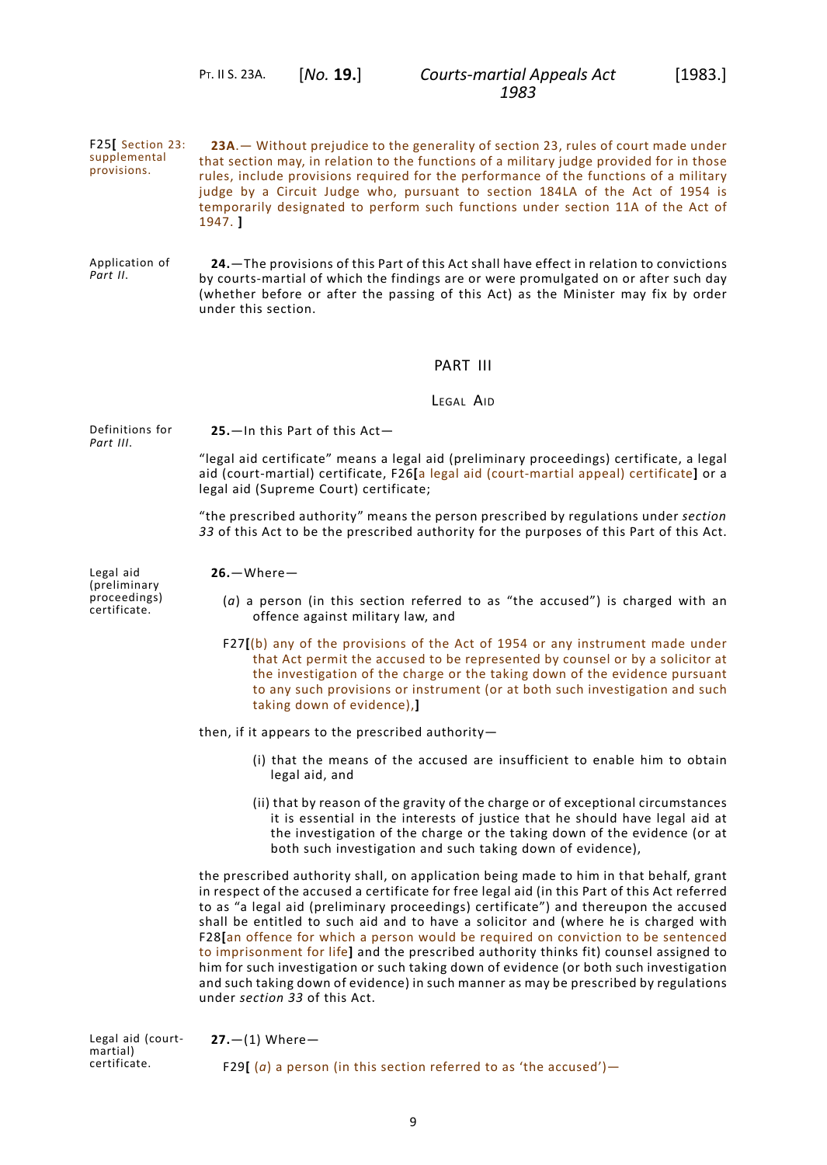PT. II S. 23A. [*No.* **19.**]

<span id="page-12-1"></span>1947. **]**

F25**[** Section 23: supplemental provisions. **23A**.— Without prejudice to the generality of section 23, rules of court made under that section may, in relation to the functions of a military judge provided for in those rules, include provisions required for the performance of the functions of a military judge by a Circuit Judge who, pursuant to section 184LA of the Act of 1954 is temporarily designated to perform such functions under section 11A of the Act of

Application of *[Part](#page-8-2) II*. **24.**—The provisions of this Part of this Act shall have effect in relation to convictions by courts-martial of which the findings are or were promulgated on or after such day (whether before or after the passing of this Act) as the Minister may fix by order under this section.

# PART III

LEGAL AID

Definitions for *[Part](#page-12-0) III*.

<span id="page-12-2"></span><span id="page-12-0"></span>**25.**—In this Part of this Act—

**26.**—Where—

"legal aid certificate" means a legal aid (preliminary proceedings) certificate, a legal aid (court-martial) certificate, F26**[**a legal aid (court-martial appeal) certificate**]** or a legal aid (Supreme Court) certificate;

<span id="page-12-3"></span>"the prescribed authority" means the person prescribed by regulations under *[section](#page-16-3) [33](#page-16-3)* of this Act to be the prescribed authority for the purposes of this Part of this Act.

Legal aid (preliminary proceedings) certificate.

- (*a*) a person (in this section referred to as "the accused") is charged with an offence against military law, and
- F27**[**(b) any of the provisions of the Act of 1954 or any instrument made under that Act permit the accused to be represented by counsel or by a solicitor at the investigation of the charge or the taking down of the evidence pursuant to any such provisions or instrument (or at both such investigation and such taking down of evidence),**]**

then, if it appears to the prescribed authority—

- (i) that the means of the accused are insufficient to enable him to obtain legal aid, and
- (ii) that by reason of the gravity of the charge or of exceptional circumstances it is essential in the interests of justice that he should have legal aid at the investigation of the charge or the taking down of the evidence (or at both such investigation and such taking down of evidence),

<span id="page-12-4"></span>the prescribed authority shall, on application being made to him in that behalf, grant in respect of the accused a certificate for free legal aid (in this Part of this Act referred to as "a legal aid (preliminary proceedings) certificate") and thereupon the accused shall be entitled to such aid and to have a solicitor and (where he is charged with F28**[**an offence for which a person would be required on conviction to be sentenced to imprisonment for life**]** and the prescribed authority thinks fit) counsel assigned to him for such investigation or such taking down of evidence (or both such investigation and such taking down of evidence) in such manner as may be prescribed by regulations under *[section](#page-16-3) 33* of this Act.

Legal aid (courtmartial) certificate. **27.**—(1) Where— F29 $[$  (*a*) a person (in this section referred to as 'the accused')—

9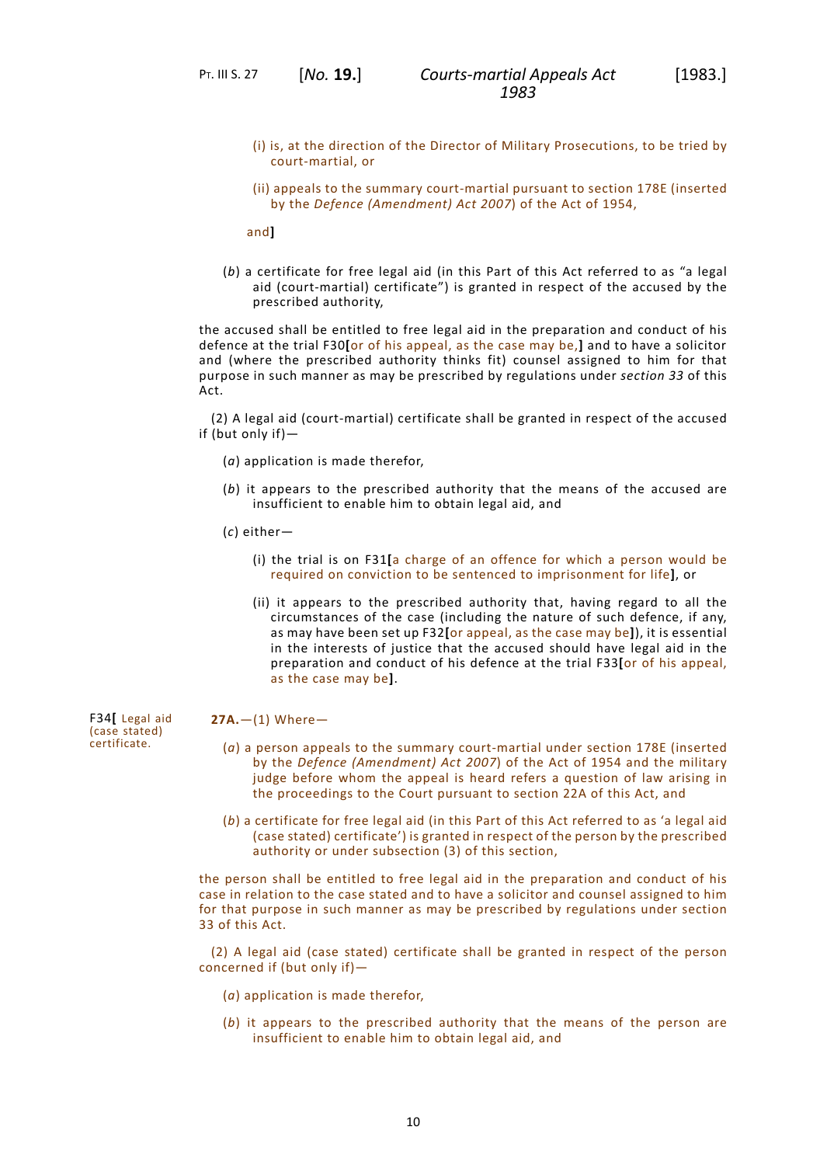- (i) is, at the direction of the Director of Military Prosecutions, to be tried by court-martial, or
- (ii) appeals to the summary court-martial pursuant to section 178E (inserted by the *Defence (Amendment) Act 2007*) of the Act of 1954,

and**]**

(*b*) a certificate for free legal aid (in this Part of this Act referred to as "a legal aid (court-martial) certificate") is granted in respect of the accused by the prescribed authority,

the accused shall be entitled to free legal aid in the preparation and conduct of his defence at the trial F30**[**or of his appeal, as the case may be,**]** and to have a solicitor and (where the prescribed authority thinks fit) counsel assigned to him for that purpose in such manner as may be prescribed by regulations under *[section](#page-16-3) 33* of this Act.

(2) A legal aid (court-martial) certificate shall be granted in respect of the accused if (but only if)—

- (*a*) application is made therefor,
- (*b*) it appears to the prescribed authority that the means of the accused are insufficient to enable him to obtain legal aid, and
- (*c*) either—
	- (i) the trial is on F31**[**a charge of an offence for which a person would be required on conviction to be sentenced to imprisonment for life**]**, or
	- (ii) it appears to the prescribed authority that, having regard to all the circumstances of the case (including the nature of such defence, if any, as may have been set up F32**[**or appeal, as the case may be**]**), it is essential in the interests of justice that the accused should have legal aid in the preparation and conduct of his defence at the trial F33**[**or of his appeal, as the case may be**]**.

#### <span id="page-13-0"></span>**27A.**—(1) Where—

- (*a*) a person appeals to the summary court-martial under section 178E (inserted by the *Defence (Amendment) Act 2007*) of the Act of 1954 and the military judge before whom the appeal is heard refers a question of law arising in the proceedings to the Court pursuant to section 22A of this Act, and
- (*b*) a certificate for free legal aid (in this Part of this Act referred to as 'a legal aid (case stated) certificate') is granted in respect of the person by the prescribed authority or under subsection (3) of this section,

the person shall be entitled to free legal aid in the preparation and conduct of his case in relation to the case stated and to have a solicitor and counsel assigned to him for that purpose in such manner as may be prescribed by regulations under section 33 of this Act.

(2) A legal aid (case stated) certificate shall be granted in respect of the person concerned if (but only if)—

- (*a*) application is made therefor,
- (*b*) it appears to the prescribed authority that the means of the person are insufficient to enable him to obtain legal aid, and

F34**[** Legal aid (case stated) certificate.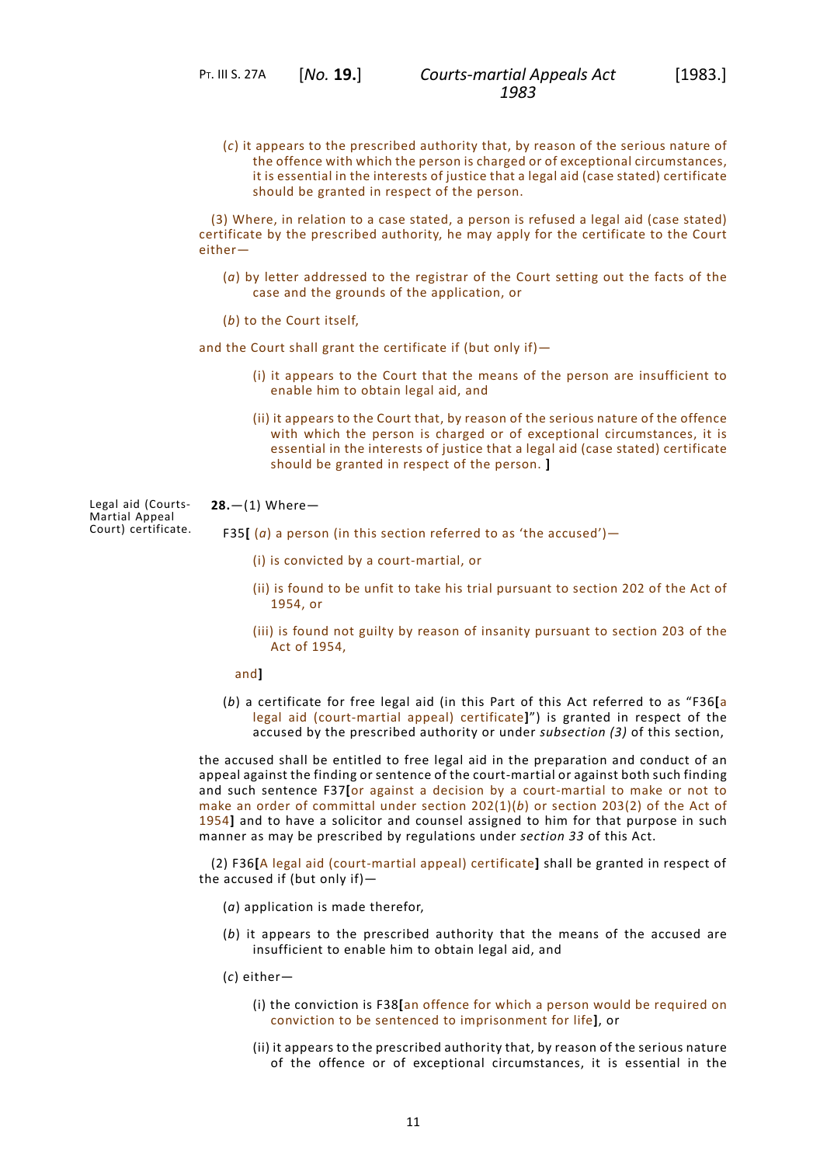(*c*) it appears to the prescribed authority that, by reason of the serious nature of the offence with which the person is charged or of exceptional circumstances, it is essential in the interests of justice that a legal aid (case stated) certificate should be granted in respect of the person.

(3) Where, in relation to a case stated, a person is refused a legal aid (case stated) certificate by the prescribed authority, he may apply for the certificate to the Court either—

- (*a*) by letter addressed to the registrar of the Court setting out the facts of the case and the grounds of the application, or
- (*b*) to the Court itself,

and the Court shall grant the certificate if (but only if)—

- (i) it appears to the Court that the means of the person are insufficient to enable him to obtain legal aid, and
- <span id="page-14-0"></span>(ii) it appears to the Court that, by reason of the serious nature of the offence with which the person is charged or of exceptional circumstances, it is essential in the interests of justice that a legal aid (case stated) certificate should be granted in respect of the person. **]**

#### Legal aid (Courts-**28.**—(1) Where—

Court) certificate.

Martial Appeal

- F35**[** ( $a$ ) a person (in this section referred to as 'the accused')
	- (i) is convicted by a court-martial, or
	- (ii) is found to be unfit to take his trial pursuant to section 202 of the Act of 1954, or
	- (iii) is found not guilty by reason of insanity pursuant to section 203 of the Act of 1954,

and**]**

(*b*) a certificate for free legal aid (in this Part of this Act referred to as "F36**[**a legal aid (court-martial appeal) certificate**]**") is granted in respect of the accused by the prescribed authority or under *subsection (3)* of this section,

the accused shall be entitled to free legal aid in the preparation and conduct of an appeal against the finding or sentence of the court-martial or against both such finding and such sentence F37**[**or against a decision by a court-martial to make or not to make an order of committal under section 202(1)(*b*) or section 203(2) of the Act of 1954**]** and to have a solicitor and counsel assigned to him for that purpose in such manner as may be prescribed by regulations under *[section](#page-16-3) 33* of this Act.

(2) F36**[**A legal aid (court-martial appeal) certificate**]** shall be granted in respect of the accused if (but only if)—

- (*a*) application is made therefor,
- (*b*) it appears to the prescribed authority that the means of the accused are insufficient to enable him to obtain legal aid, and
- (*c*) either—
	- (i) the conviction is F38**[**an offence for which a person would be required on conviction to be sentenced to imprisonment for life**]**, or
	- (ii) it appears to the prescribed authority that, by reason of the serious nature of the offence or of exceptional circumstances, it is essential in the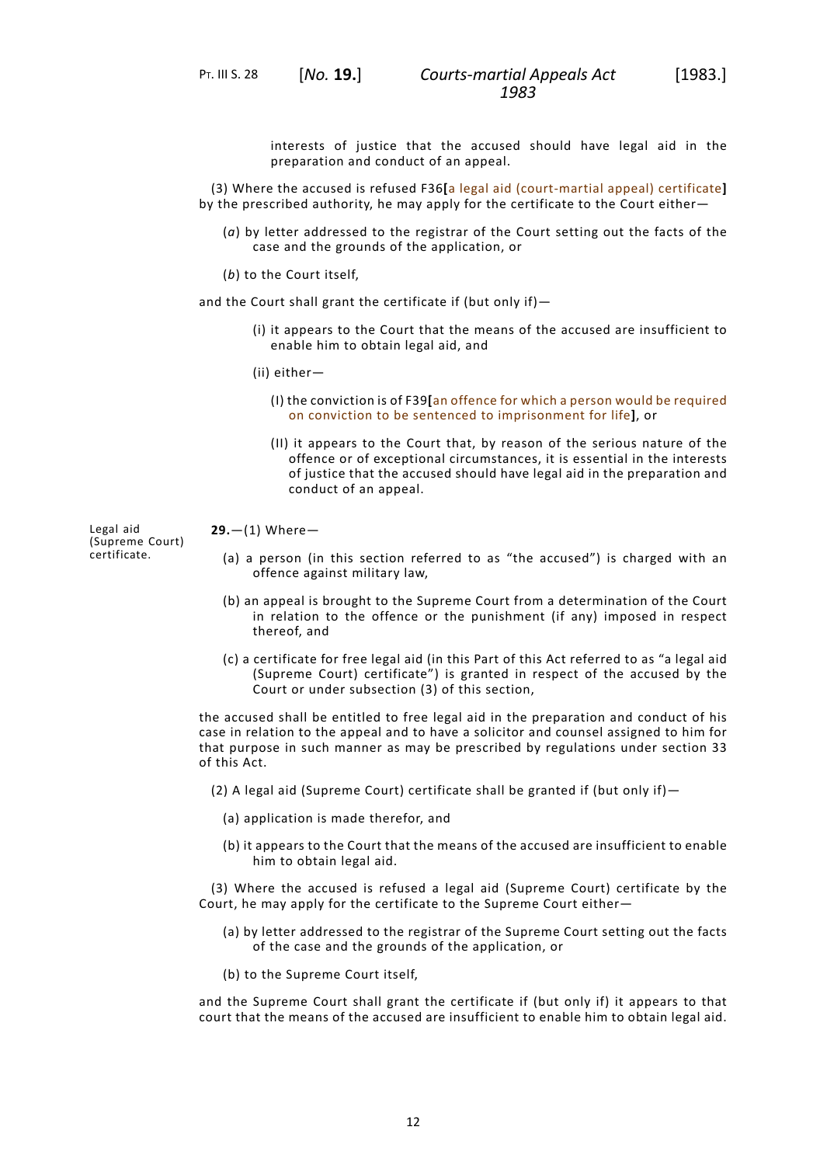PT. III S. 28 [*No.* **19.**]

interests of justice that the accused should have legal aid in the preparation and conduct of an appeal.

(3) Where the accused is refused F36**[**a legal aid (court-martial appeal) certificate**]** by the prescribed authority, he may apply for the certificate to the Court either—

- (*a*) by letter addressed to the registrar of the Court setting out the facts of the case and the grounds of the application, or
- (*b*) to the Court itself,

and the Court shall grant the certificate if (but only if)—

- (i) it appears to the Court that the means of the accused are insufficient to enable him to obtain legal aid, and
- (ii) either—
	- (I) the conviction is of F39**[**an offence for which a person would be required on conviction to be sentenced to imprisonment for life**]**, or
	- (II) it appears to the Court that, by reason of the serious nature of the offence or of exceptional circumstances, it is essential in the interests of justice that the accused should have legal aid in the preparation and conduct of an appeal.

#### <span id="page-15-0"></span>**29.**—(1) Where—

- (a) a person (in this section referred to as "the accused") is charged with an offence against military law,
- (b) an appeal is brought to the Supreme Court from a determination of the Court in relation to the offence or the punishment (if any) imposed in respect thereof, and
- (c) a certificate for free legal aid (in this Part of this Act referred to as "a legal aid (Supreme Court) certificate") is granted in respect of the accused by the Court or under subsection (3) of this section,

the accused shall be entitled to free legal aid in the preparation and conduct of his case in relation to the appeal and to have a solicitor and counsel assigned to him for that purpose in such manner as may be prescribed by regulations under section 33 of this Act.

- (2) A legal aid (Supreme Court) certificate shall be granted if (but only if)—
	- (a) application is made therefor, and
	- (b) it appears to the Court that the means of the accused are insufficient to enable him to obtain legal aid.

(3) Where the accused is refused a legal aid (Supreme Court) certificate by the Court, he may apply for the certificate to the Supreme Court either—

- (a) by letter addressed to the registrar of the Supreme Court setting out the facts of the case and the grounds of the application, or
- (b) to the Supreme Court itself,

and the Supreme Court shall grant the certificate if (but only if) it appears to that court that the means of the accused are insufficient to enable him to obtain legal aid.

Legal aid (Supreme Court) certificate.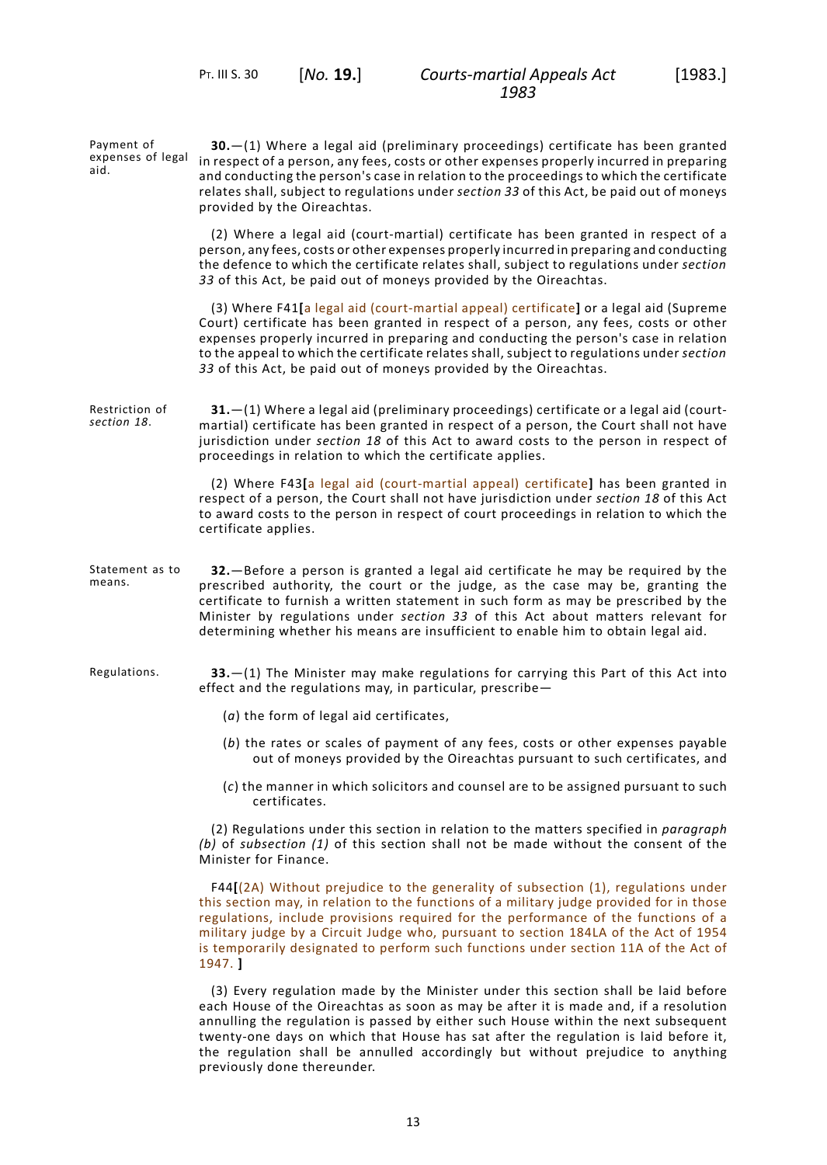<span id="page-16-0"></span>PT. III S. 30 [*No.* **19.**]

<span id="page-16-1"></span>Payment of expenses of legal aid. **30.**—(1) Where a legal aid (preliminary proceedings) certificate has been granted in respect of a person, any fees, costs or other expenses properly incurred in preparing and conducting the person's case in relation to the proceedings to which the certificate relates shall, subject to regulations under *[section](#page-16-3) 33* of this Act, be paid out of moneys provided by the Oireachtas. (2) Where a legal aid (court-martial) certificate has been granted in respect of a person, any fees, costs or other expenses properly incurred in preparing and conducting the defence to which the certificate relates shall, subject to regulations under *[section](#page-16-3) [33](#page-16-3)* of this Act, be paid out of moneys provided by the Oireachtas. (3) Where F41**[**a legal aid (court-martial appeal) certificate**]** or a legal aid (Supreme Court) certificate has been granted in respect of a person, any fees, costs or other expenses properly incurred in preparing and conducting the person's case in relation to the appeal to which the certificate relates shall, subject to regulations under *[section](#page-16-3) [33](#page-16-3)* of this Act, be paid out of moneys provided by the Oireachtas. Restriction of *[section](#page-9-7) 18*. **31.**—(1) Where a legal aid (preliminary proceedings) certificate or a legal aid (courtmartial) certificate has been granted in respect of a person, the Court shall not have jurisdiction under *[section](#page-9-7) 18* of this Act to award costs to the person in respect of proceedings in relation to which the certificate applies. (2) Where F43**[**a legal aid (court-martial appeal) certificate**]** has been granted in respect of a person, the Court shall not have jurisdiction under *[section](#page-9-7) 18* of this Act to award costs to the person in respect of court proceedings in relation to which the certificate applies. Statement as to means. **32.**—Before a person is granted a legal aid certificate he may be required by the prescribed authority, the court or the judge, as the case may be, granting the certificate to furnish a written statement in such form as may be prescribed by the Minister by regulations under *[section](#page-16-3) 33* of this Act about matters relevant for determining whether his means are insufficient to enable him to obtain legal aid. Regulations. **33.**—(1) The Minister may make regulations for carrying this Part of this Act into effect and the regulations may, in particular, prescribe— (*a*) the form of legal aid certificates, (*b*) the rates or scales of payment of any fees, costs or other expenses payable out of moneys provided by the Oireachtas pursuant to such certificates, and

> <span id="page-16-3"></span><span id="page-16-2"></span>(*c*) the manner in which solicitors and counsel are to be assigned pursuant to such certificates.

(2) Regulations under this section in relation to the matters specified in *paragraph (b)* of *subsection (1)* of this section shall not be made without the consent of the Minister for Finance.

F44**[**(2A) Without prejudice to the generality of subsection (1), regulations under this section may, in relation to the functions of a military judge provided for in those regulations, include provisions required for the performance of the functions of a military judge by a Circuit Judge who, pursuant to section 184LA of the Act of 1954 is temporarily designated to perform such functions under section 11A of the Act of 1947. **]**

(3) Every regulation made by the Minister under this section shall be laid before each House of the Oireachtas as soon as may be after it is made and, if a resolution annulling the regulation is passed by either such House within the next subsequent twenty-one days on which that House has sat after the regulation is laid before it, the regulation shall be annulled accordingly but without prejudice to anything previously done thereunder.